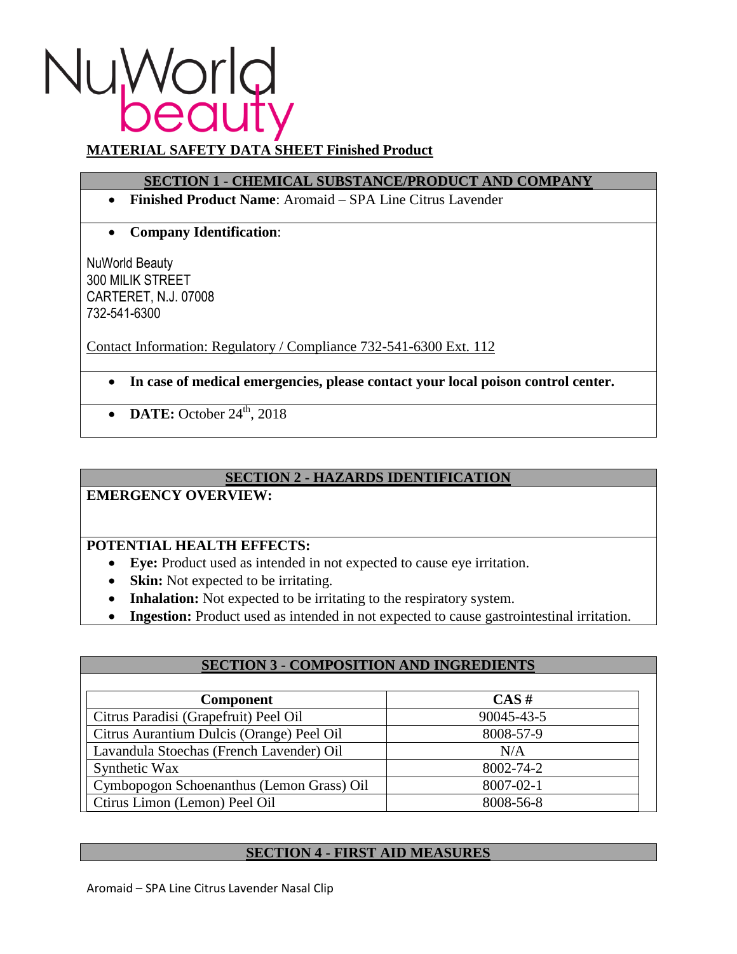# Nu World

# **MATERIAL SAFETY DATA SHEET Finished Product**

# **SECTION 1 - CHEMICAL SUBSTANCE/PRODUCT AND COMPANY**

- **Finished Product Name**: Aromaid SPA Line Citrus Lavender
- **Company Identification**:

NuWorld Beauty 300 MILIK STREET CARTERET, N.J. 07008 732-541-6300

Contact Information: Regulatory / Compliance 732-541-6300 Ext. 112

- **In case of medical emergencies, please contact your local poison control center.**
- **DATE:** October 24<sup>th</sup>, 2018

# **SECTION 2 - HAZARDS IDENTIFICATION**

**EMERGENCY OVERVIEW:**

# **POTENTIAL HEALTH EFFECTS:**

- **Eye:** Product used as intended in not expected to cause eye irritation.
- **Skin:** Not expected to be irritating.
- **Inhalation:** Not expected to be irritating to the respiratory system.

Ctirus Limon (Lemon) Peel Oil 8008-56-8

**Ingestion:** Product used as intended in not expected to cause gastrointestinal irritation.

| <b>SECTION 3 - COMPOSITION AND INGREDIENTS</b> |            |
|------------------------------------------------|------------|
| <b>Component</b>                               | $CAS \#$   |
| Citrus Paradisi (Grapefruit) Peel Oil          | 90045-43-5 |
| Citrus Aurantium Dulcis (Orange) Peel Oil      | 8008-57-9  |
| Lavandula Stoechas (French Lavender) Oil       | N/A        |
| Synthetic Wax                                  | 8002-74-2  |
| Cymbopogon Schoenanthus (Lemon Grass) Oil      | 8007-02-1  |

#### **SECTION 4 - FIRST AID MEASURES**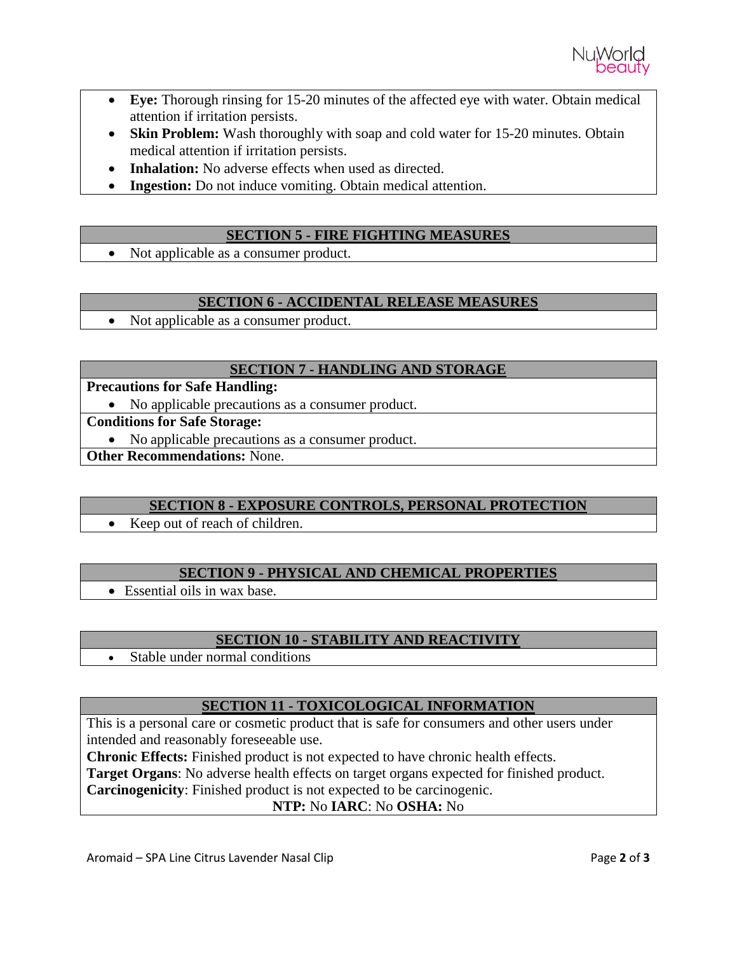

- **Eye:** Thorough rinsing for 15-20 minutes of the affected eye with water. Obtain medical attention if irritation persists.
- **Skin Problem:** Wash thoroughly with soap and cold water for 15-20 minutes. Obtain medical attention if irritation persists.
- **Inhalation:** No adverse effects when used as directed.
- **Ingestion:** Do not induce vomiting. Obtain medical attention.

# **SECTION 5 - FIRE FIGHTING MEASURES**

• Not applicable as a consumer product.

### **SECTION 6 - ACCIDENTAL RELEASE MEASURES**

• Not applicable as a consumer product.

#### **SECTION 7 - HANDLING AND STORAGE**

**Precautions for Safe Handling:**

• No applicable precautions as a consumer product.

**Conditions for Safe Storage:**

• No applicable precautions as a consumer product.

**Other Recommendations:** None.

#### **SECTION 8 - EXPOSURE CONTROLS, PERSONAL PROTECTION**

• Keep out of reach of children.

# **SECTION 9 - PHYSICAL AND CHEMICAL PROPERTIES**

Essential oils in wax base.

# **SECTION 10 - STABILITY AND REACTIVITY**

• Stable under normal conditions

# **SECTION 11 - TOXICOLOGICAL INFORMATION**

This is a personal care or cosmetic product that is safe for consumers and other users under intended and reasonably foreseeable use.

**Chronic Effects:** Finished product is not expected to have chronic health effects.

**Target Organs**: No adverse health effects on target organs expected for finished product.

**Carcinogenicity**: Finished product is not expected to be carcinogenic.

**NTP:** No **IARC**: No **OSHA:** No

Aromaid – SPA Line Citrus Lavender Nasal Clip **Page 2** of 3